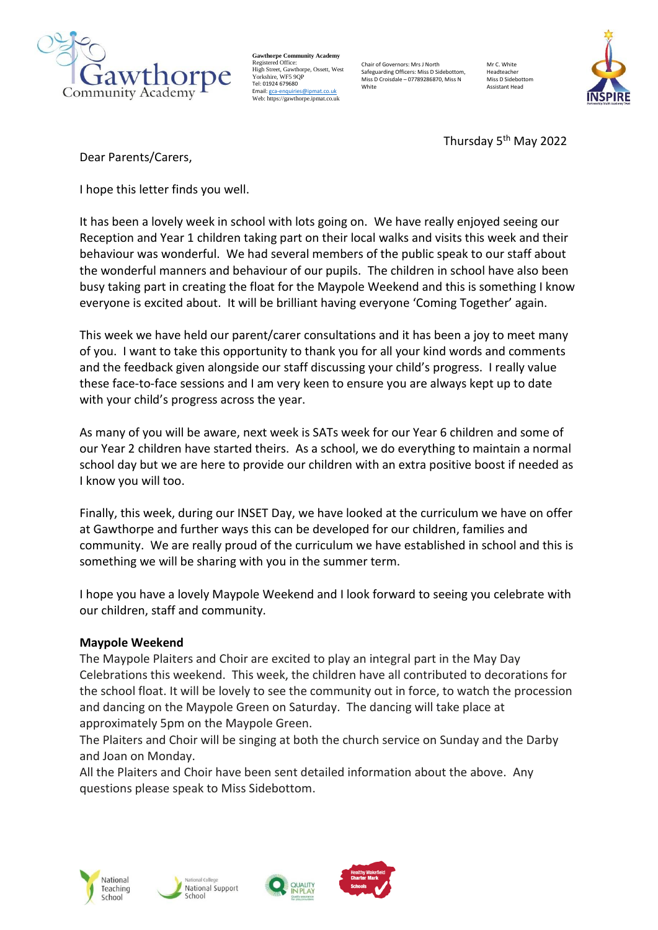

**Gawthorpe Community Academy** Registered Office: High Street, Gawthorpe, Ossett, West rngn oneer, oamme<br>Vorkshire, WF5 9∩F Tel: 01924 679680 Email[: gca-enquiries@ipmat.co.uk](mailto:gca-enquiries@ipmat.co.uk) Web: https://gawthorpe.ipmat.co.uk

Chair of Governors: Mrs J North Safeguarding Officers: Miss D Sidebottom, Miss D Croisdale – 07789286870, Miss N White

Mr C. White Headteacher Miss D Sidebotto Assistant Head



Thursday 5<sup>th</sup> May 2022

Dear Parents/Carers,

I hope this letter finds you well.

It has been a lovely week in school with lots going on. We have really enjoyed seeing our Reception and Year 1 children taking part on their local walks and visits this week and their behaviour was wonderful. We had several members of the public speak to our staff about the wonderful manners and behaviour of our pupils. The children in school have also been busy taking part in creating the float for the Maypole Weekend and this is something I know everyone is excited about. It will be brilliant having everyone 'Coming Together' again.

This week we have held our parent/carer consultations and it has been a joy to meet many of you. I want to take this opportunity to thank you for all your kind words and comments and the feedback given alongside our staff discussing your child's progress. I really value these face-to-face sessions and I am very keen to ensure you are always kept up to date with your child's progress across the year.

As many of you will be aware, next week is SATs week for our Year 6 children and some of our Year 2 children have started theirs. As a school, we do everything to maintain a normal school day but we are here to provide our children with an extra positive boost if needed as I know you will too.

Finally, this week, during our INSET Day, we have looked at the curriculum we have on offer at Gawthorpe and further ways this can be developed for our children, families and community. We are really proud of the curriculum we have established in school and this is something we will be sharing with you in the summer term.

I hope you have a lovely Maypole Weekend and I look forward to seeing you celebrate with our children, staff and community.

# **Maypole Weekend**

The Maypole Plaiters and Choir are excited to play an integral part in the May Day Celebrations this weekend. This week, the children have all contributed to decorations for the school float. It will be lovely to see the community out in force, to watch the procession and dancing on the Maypole Green on Saturday. The dancing will take place at approximately 5pm on the Maypole Green.

The Plaiters and Choir will be singing at both the church service on Sunday and the Darby and Joan on Monday.

All the Plaiters and Choir have been sent detailed information about the above. Any questions please speak to Miss Sidebottom.







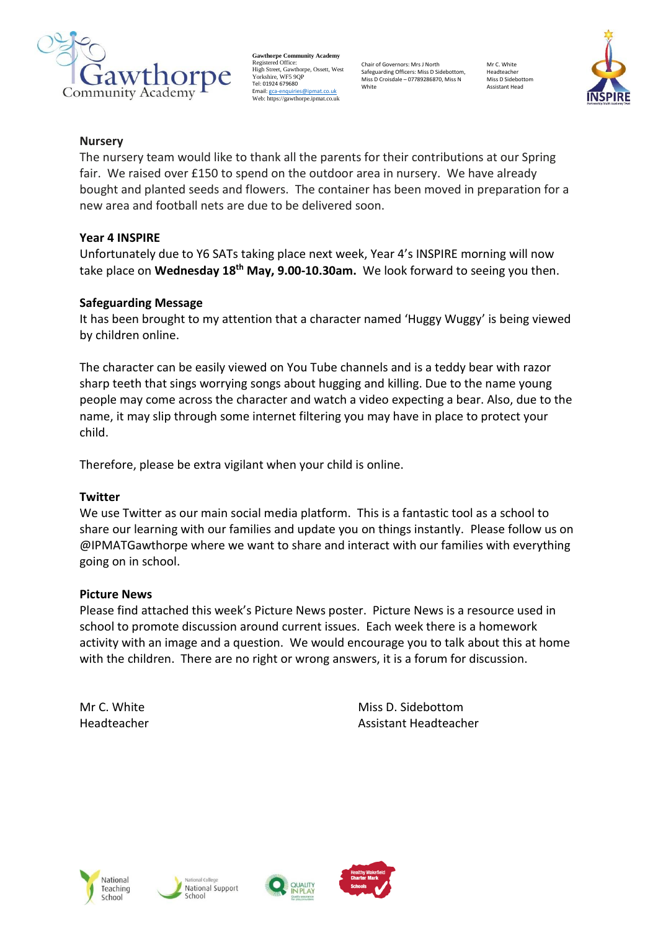

**Gawthorpe Community Academy** Registered Office: High Street, Gawthorpe, Ossett, West Yorkshire, WF5 9OF Tel: 01924 679680 Email[: gca-enquiries@ipmat.co.uk](mailto:gca-enquiries@ipmat.co.uk) Web: https://gawthorpe.ipmat.co.uk

Chair of Governors: Mrs J North Safeguarding Officers: Miss D Sidebottom, Miss D Croisdale – 07789286870, Miss N White

Mr C. White Headteacher Miss D Sidebottom Assistant Head



### **Nursery**

The nursery team would like to thank all the parents for their contributions at our Spring fair. We raised over £150 to spend on the outdoor area in nursery. We have already bought and planted seeds and flowers. The container has been moved in preparation for a new area and football nets are due to be delivered soon.

# **Year 4 INSPIRE**

Unfortunately due to Y6 SATs taking place next week, Year 4's INSPIRE morning will now take place on **Wednesday 18th May, 9.00-10.30am.** We look forward to seeing you then.

# **Safeguarding Message**

It has been brought to my attention that a character named 'Huggy Wuggy' is being viewed by children online.

The character can be easily viewed on You Tube channels and is a teddy bear with razor sharp teeth that sings worrying songs about hugging and killing. Due to the name young people may come across the character and watch a video expecting a bear. Also, due to the name, it may slip through some internet filtering you may have in place to protect your child.

Therefore, please be extra vigilant when your child is online.

### **Twitter**

We use Twitter as our main social media platform. This is a fantastic tool as a school to share our learning with our families and update you on things instantly. Please follow us on @IPMATGawthorpe where we want to share and interact with our families with everything going on in school.

### **Picture News**

Please find attached this week's Picture News poster.  Picture News is a resource used in school to promote discussion around current issues.  Each week there is a homework activity with an image and a question.  We would encourage you to talk about this at home with the children.  There are no right or wrong answers, it is a forum for discussion.   

Mr C. White Miss D. Sidebottom Headteacher Assistant Headteacher